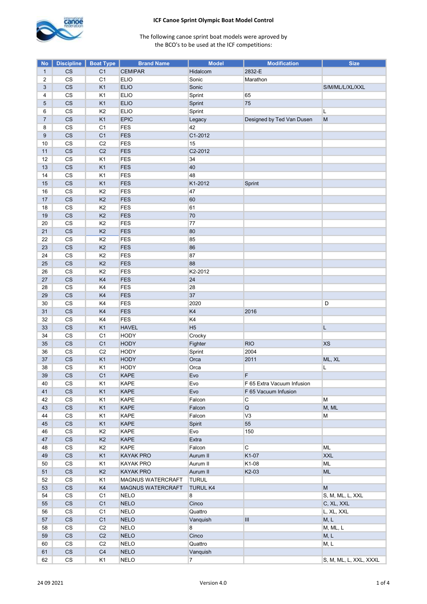

| <b>No</b>      | <b>Discipline</b>        | <b>Boat Type</b> | <b>Brand Name</b> | <b>Model</b>    | <b>Modification</b>        | <b>Size</b>            |
|----------------|--------------------------|------------------|-------------------|-----------------|----------------------------|------------------------|
| $\mathbf{1}$   | CS                       | C <sub>1</sub>   | <b>CEMIPAR</b>    | Hidalcom        | 2832-E                     |                        |
| 2              | $\mathbb{C}\mathbb{S}$   | C <sub>1</sub>   | <b>ELIO</b>       | Sonic           | Marathon                   |                        |
| 3              | $\mathsf{CS}\xspace$     | K1               | <b>ELIO</b>       | Sonic           |                            | S/M/ML/L/XL/XXL        |
| 4              | $\mathbb{C}\mathbb{S}$   | K1               | <b>ELIO</b>       | Sprint          | 65                         |                        |
| 5              | $\mathsf{CS}\xspace$     | K <sub>1</sub>   | <b>ELIO</b>       | Sprint          | 75                         |                        |
| 6              | $\mathsf{CS}\xspace$     | K <sub>2</sub>   | <b>ELIO</b>       | Sprint          |                            | L                      |
| $\overline{7}$ | $\mathsf{CS}\xspace$     | K <sub>1</sub>   | <b>EPIC</b>       | Legacy          | Designed by Ted Van Dusen  | M                      |
| 8              | $\mathbb{C}\mathbb{S}$   | C <sub>1</sub>   | FES               | 42              |                            |                        |
| $9\,$          | $\mathsf{CS}\xspace$     | C <sub>1</sub>   | <b>FES</b>        | C1-2012         |                            |                        |
| 10             | $\mathsf{CS}\xspace$     | C <sub>2</sub>   | FES               | 15              |                            |                        |
| 11             | $\mathsf{CS}\xspace$     | C <sub>2</sub>   | <b>FES</b>        | C2-2012         |                            |                        |
| 12             | $\mathsf{CS}\xspace$     | K1               | FES               | 34              |                            |                        |
| 13             | $\mathsf{CS}\xspace$     | K <sub>1</sub>   | <b>FES</b>        | 40              |                            |                        |
|                |                          |                  |                   | 48              |                            |                        |
| 14             | $\mathsf{CS}\xspace$     | K1               | FES               |                 |                            |                        |
| 15             | $\mathsf{CS}\xspace$     | K <sub>1</sub>   | <b>FES</b>        | K1-2012         | Sprint                     |                        |
| 16             | $\mathsf{CS}\xspace$     | K <sub>2</sub>   | <b>FES</b>        | 47              |                            |                        |
| 17             | $\mathsf{CS}\xspace$     | K <sub>2</sub>   | <b>FES</b>        | 60              |                            |                        |
| 18             | $\mathsf{CS}\xspace$     | K <sub>2</sub>   | FES               | 61              |                            |                        |
| 19             | $\mathsf{CS}\xspace$     | K <sub>2</sub>   | <b>FES</b>        | 70              |                            |                        |
| 20             | $\mathsf{CS}\xspace$     | K <sub>2</sub>   | <b>FES</b>        | 77              |                            |                        |
| 21             | $\mathsf{CS}\xspace$     | K <sub>2</sub>   | FES               | 80              |                            |                        |
| 22             | $\mathbb{C}\mathbb{S}$   | K <sub>2</sub>   | FES               | 85              |                            |                        |
| 23             | $\mathsf{CS}\xspace$     | K <sub>2</sub>   | <b>FES</b>        | 86              |                            |                        |
| 24             | $\mathsf{CS}\xspace$     | K <sub>2</sub>   | FES               | 87              |                            |                        |
| 25             | $\mathsf{CS}\xspace$     | K <sub>2</sub>   | <b>FES</b>        | 88              |                            |                        |
| 26             | $\mathsf{CS}\xspace$     | K <sub>2</sub>   | FES               | K2-2012         |                            |                        |
| 27             | $\mathsf{CS}\phantom{0}$ | K4               | <b>FES</b>        | 24              |                            |                        |
| 28             | $\mathsf{CS}\xspace$     | K4               | FES               | 28              |                            |                        |
| 29             | $\mathsf{CS}\xspace$     | K4               | <b>FES</b>        | 37              |                            |                        |
| 30             | $\mathsf{CS}\xspace$     | K4               | FES               | 2020            |                            | D                      |
| 31             | $\mathsf{CS}\xspace$     | K4               | <b>FES</b>        | K4              | 2016                       |                        |
| 32             | $_{\rm CS}$              | K4               | FES               | K4              |                            |                        |
| 33             | $\mathsf{CS}\xspace$     | K <sub>1</sub>   | <b>HAVEL</b>      | H <sub>5</sub>  |                            | L                      |
| 34             | $\mathsf{CS}\xspace$     | C <sub>1</sub>   | <b>HODY</b>       | Crocky          |                            |                        |
| 35             | $\mathsf{CS}\xspace$     | C <sub>1</sub>   | <b>HODY</b>       | Fighter         | <b>RIO</b>                 | <b>XS</b>              |
| 36             | $\mathsf{CS}\xspace$     | C <sub>2</sub>   | <b>HODY</b>       | Sprint          | 2004                       |                        |
| 37             | $\mathsf{CS}\xspace$     | K <sub>1</sub>   | <b>HODY</b>       | Orca            | 2011                       | ML, XL                 |
| 38             | $\mathsf{CS}\xspace$     | K1               | <b>HODY</b>       | Orca            |                            | L                      |
| 39             | $\mathsf{CS}\xspace$     | C <sub>1</sub>   | <b>KAPE</b>       | Evo             | F                          |                        |
|                |                          |                  |                   |                 |                            |                        |
| 40             | СS                       | K1               | KAPE              | Evo             | F 65 Extra Vacuum Infusion |                        |
| 41             | CS                       | K1               | <b>KAPE</b>       | Evo             | F 65 Vacuum Infusion       |                        |
| 42             | $\mathsf{CS}\xspace$     | K <sub>1</sub>   | KAPE              | Falcon          | С                          | M                      |
| 43             | $\mathsf{CS}\xspace$     | K <sub>1</sub>   | <b>KAPE</b>       | Falcon          | Q                          | M, ML                  |
| 44             | $\mathsf{CS}\xspace$     | K <sub>1</sub>   | KAPE              | Falcon          | V3                         | M                      |
| 45             | $\mathsf{CS}\xspace$     | K <sub>1</sub>   | <b>KAPE</b>       | Spirit          | 55                         |                        |
| 46             | $\mathsf{CS}\xspace$     | K <sub>2</sub>   | KAPE              | Evo             | 150                        |                        |
| 47             | $\mathsf{CS}\xspace$     | K2               | <b>KAPE</b>       | Extra           |                            |                        |
| 48             | $_{\rm CS}$              | K <sub>2</sub>   | KAPE              | Falcon          | С                          | <b>ML</b>              |
| 49             | $\mathsf{CS}\xspace$     | K <sub>1</sub>   | <b>KAYAK PRO</b>  | Aurum II        | K1-07                      | <b>XXL</b>             |
| 50             | $_{\rm CS}$              | K1               | <b>KAYAK PRO</b>  | Aurum II        | K1-08                      | <b>ML</b>              |
| 51             | $\mathsf{CS}\xspace$     | K <sub>2</sub>   | <b>KAYAK PRO</b>  | Aurum II        | K2-03                      | ML                     |
| 52             | $\mathsf{CS}\xspace$     | K1               | MAGNUS WATERCRAFT | <b>TURUL</b>    |                            |                        |
| 53             | $\mathsf{CS}\xspace$     | K4               | MAGNUS WATERCRAFT | <b>TURUL K4</b> |                            | M                      |
| 54             | $\mathsf{CS}\phantom{0}$ | C <sub>1</sub>   | <b>NELO</b>       | 8               |                            | S, M, ML, L, XXL       |
| 55             | $\mathsf{CS}\xspace$     | C <sub>1</sub>   | <b>NELO</b>       | Cinco           |                            | C, XL, XXL             |
| 56             | CS                       | C <sub>1</sub>   | <b>NELO</b>       | Quattro         |                            | L, XL, XXL             |
| 57             | $\mathsf{CS}\xspace$     | C <sub>1</sub>   | <b>NELO</b>       | Vanquish        | III                        | M, L                   |
| 58             | $\mathsf{CS}\phantom{0}$ | C <sub>2</sub>   | <b>NELO</b>       | 8               |                            | M, ML, L               |
| 59             | $\mathsf{CS}\xspace$     | C2               | <b>NELO</b>       | Cinco           |                            | M, L                   |
| 60             | $_{\rm CS}$              | C2               | <b>NELO</b>       | Quattro         |                            | M, L                   |
| 61             | CS                       | $\mathbb{C}4$    | <b>NELO</b>       | Vanquish        |                            |                        |
| 62             | $\mathsf{CS}\xspace$     | K1               | <b>NELO</b>       | $\overline{7}$  |                            | S, M, ML, L, XXL, XXXL |
|                |                          |                  |                   |                 |                            |                        |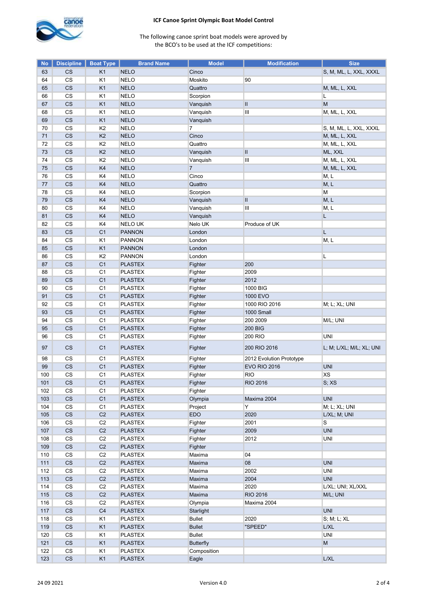

| <b>No</b> | <b>Discipline</b>        | <b>Boat Type</b> | <b>Brand Name</b> | <b>Model</b>     | <b>Modification</b>      | <b>Size</b>              |
|-----------|--------------------------|------------------|-------------------|------------------|--------------------------|--------------------------|
| 63        | СS                       | K <sub>1</sub>   | <b>NELO</b>       | Cinco            |                          | S, M, ML, L, XXL, XXXL   |
| 64        | CS                       | K <sub>1</sub>   | <b>NELO</b>       | Moskito          | 90                       |                          |
| 65        | CS                       | K <sub>1</sub>   | <b>NELO</b>       | Quattro          |                          | M, ML, L, XXL            |
| 66        | $_{\rm CS}$              | K <sub>1</sub>   | <b>NELO</b>       | Scorpion         |                          | Г                        |
| 67        | CS                       | K <sub>1</sub>   | <b>NELO</b>       | Vanquish         | Ш                        | М                        |
| 68        | CS                       | K <sub>1</sub>   | <b>NELO</b>       | Vanquish         | Ш                        | M, ML, L, XXL            |
| 69        | CS                       | K <sub>1</sub>   | <b>NELO</b>       | Vanquish         |                          |                          |
| 70        | CS                       | K <sub>2</sub>   | <b>NELO</b>       | $\overline{7}$   |                          | S, M, ML, L, XXL, XXXL   |
| 71        | CS                       | K <sub>2</sub>   | <b>NELO</b>       | Cinco            |                          | M, ML, L, XXL            |
| 72        | CS                       | K <sub>2</sub>   | <b>NELO</b>       | Quattro          |                          | M, ML, L, XXL            |
| 73        | $\mathsf{CS}\phantom{0}$ | K <sub>2</sub>   | <b>NELO</b>       | Vanquish         | Ш                        | ML, XXL                  |
| 74        | $\mathsf{CS}\phantom{0}$ | K <sub>2</sub>   | <b>NELO</b>       | Vanquish         | Ш                        | M, ML, L, XXL            |
| 75        | CS                       | K4               | <b>NELO</b>       | $\overline{7}$   |                          | M, ML, L, XXL            |
| 76        | CS                       | K4               | <b>NELO</b>       | Cinco            |                          | M, L                     |
| 77        | CS                       | K <sub>4</sub>   | <b>NELO</b>       | Quattro          |                          | M, L                     |
| 78        | CS                       | K4               | <b>NELO</b>       | Scorpion         |                          | M                        |
| 79        | CS                       | K4               | <b>NELO</b>       | Vanquish         | Ш                        | M, L                     |
| 80        | $\mathsf{CS}\xspace$     | K4               | <b>NELO</b>       | Vanquish         | Ш                        | M, L                     |
| 81        | <b>CS</b>                | K4               | <b>NELO</b>       | Vanquish         |                          | L                        |
| 82        | CS                       | K4               | <b>NELOUK</b>     | Nelo UK          | Produce of UK            |                          |
| 83        | CS                       | C <sub>1</sub>   | <b>PANNON</b>     |                  |                          | L                        |
|           |                          |                  |                   | London           |                          |                          |
| 84        | CS                       | K <sub>1</sub>   | <b>PANNON</b>     | London           |                          | M, L                     |
| 85        | $\mathsf{CS}\xspace$     | K <sub>1</sub>   | <b>PANNON</b>     | London           |                          |                          |
| 86        | CS                       | K <sub>2</sub>   | <b>PANNON</b>     | London           |                          | L                        |
| 87        | CS                       | C <sub>1</sub>   | <b>PLASTEX</b>    | Fighter          | 200                      |                          |
| 88        | $\mathsf{CS}\phantom{0}$ | C <sub>1</sub>   | <b>PLASTEX</b>    | Fighter          | 2009                     |                          |
| 89        | CS                       | C <sub>1</sub>   | <b>PLASTEX</b>    | Fighter          | 2012                     |                          |
| 90        | CS                       | C <sub>1</sub>   | <b>PLASTEX</b>    | Fighter          | 1000 BIG                 |                          |
| 91        | CS                       | C <sub>1</sub>   | <b>PLASTEX</b>    | Fighter          | 1000 EVO                 |                          |
| 92        | CS                       | C <sub>1</sub>   | <b>PLASTEX</b>    | Fighter          | 1000 RIO 2016            | M; L; XL; UNI            |
| 93        | CS                       | C <sub>1</sub>   | <b>PLASTEX</b>    | Fighter          | 1000 Small               |                          |
| 94        | $_{\rm CS}$              | C <sub>1</sub>   | <b>PLASTEX</b>    | Fighter          | 200 2009                 | M/L; UNI                 |
| 95        | CS                       | C <sub>1</sub>   | <b>PLASTEX</b>    | Fighter          | <b>200 BIG</b>           |                          |
| 96        | CS                       | C1               | <b>PLASTEX</b>    | Fighter          | 200 RIO                  | UNI                      |
| 97        | <b>CS</b>                | C <sub>1</sub>   | <b>PLASTEX</b>    | Fighter          | 200 RIO 2016             | L; M; L/XL; M/L; XL; UNI |
| 98        | CS                       | C1               | <b>PLASTEX</b>    | Fighter          | 2012 Evolution Prototype |                          |
| 99        | <b>CS</b>                | C <sub>1</sub>   | <b>PLASTEX</b>    | Fighter          | <b>EVO RIO 2016</b>      | <b>UNI</b>               |
| 100       | CS                       | C <sub>1</sub>   | <b>PLASTEX</b>    | Fighter          | RIO                      | <b>XS</b>                |
| 101       | CS                       | C <sub>1</sub>   | <b>PLASTEX</b>    | Fighter          | <b>RIO 2016</b>          | S; XS                    |
| 102       | CS                       | C <sub>1</sub>   | <b>PLASTEX</b>    | Fighter          |                          |                          |
| 103       | $\mathsf{CS}\xspace$     | C <sub>1</sub>   | <b>PLASTEX</b>    | Olympia          | Maxima 2004              | <b>UNI</b>               |
| 104       | $\mathbb{C}\mathbb{S}$   | C <sub>1</sub>   | <b>PLASTEX</b>    | Project          | Y                        | M; L; XL; UNI            |
| 105       | $\mathsf{CS}\xspace$     | C <sub>2</sub>   | <b>PLASTEX</b>    | <b>EDO</b>       | 2020                     | L/XL; M; UNI             |
| 106       | $\mathsf{CS}\xspace$     | C <sub>2</sub>   | <b>PLASTEX</b>    | Fighter          | 2001                     | S                        |
| 107       | CS                       | C <sub>2</sub>   | <b>PLASTEX</b>    | Fighter          | 2009                     | <b>UNI</b>               |
| 108       | $_{\rm CS}$              | C2               | <b>PLASTEX</b>    | Fighter          | 2012                     | <b>UNI</b>               |
| 109       | $\mathsf{CS}\xspace$     | C <sub>2</sub>   | <b>PLASTEX</b>    | Fighter          |                          |                          |
| 110       | $\mathsf{CS}\xspace$     | C <sub>2</sub>   | <b>PLASTEX</b>    | Maxima           | 04                       |                          |
| 111       | $\mathsf{CS}\xspace$     | C <sub>2</sub>   | <b>PLASTEX</b>    | Maxima           | 08                       | <b>UNI</b>               |
| 112       | $_{\rm CS}$              | C2               | <b>PLASTEX</b>    | Maxima           | 2002                     | <b>UNI</b>               |
| 113       | $\mathsf{CS}\xspace$     | C <sub>2</sub>   | <b>PLASTEX</b>    | Maxima           | 2004                     | <b>UNI</b>               |
| 114       | $\mathsf{CS}\xspace$     | C <sub>2</sub>   | <b>PLASTEX</b>    | Maxima           | 2020                     | L/XL; UNI; XL/XXL        |
| 115       | $\mathsf{CS}\xspace$     | C <sub>2</sub>   | <b>PLASTEX</b>    | Maxima           | RIO 2016                 | M/L; UNI                 |
| 116       | $_{\rm CS}$              | C <sub>2</sub>   | <b>PLASTEX</b>    | Olympia          | Maxima 2004              |                          |
| 117       | $\mathsf{CS}\xspace$     | C <sub>4</sub>   | <b>PLASTEX</b>    | Starlight        |                          | <b>UNI</b>               |
| 118       | $_{\rm CS}$              | K <sub>1</sub>   | <b>PLASTEX</b>    | <b>Bullet</b>    | 2020                     | S; M; L; XL              |
| 119       | $\mathsf{CS}\xspace$     | K1               | <b>PLASTEX</b>    | <b>Bullet</b>    | "SPEED"                  | L/XL                     |
| 120       | CS                       | K1               | <b>PLASTEX</b>    | <b>Bullet</b>    |                          | <b>UNI</b>               |
| 121       | CS                       | K1               | <b>PLASTEX</b>    | <b>Butterfly</b> |                          | M                        |
| 122       | $\mathbb{C}\mathbb{S}$   | K1               | <b>PLASTEX</b>    | Composition      |                          |                          |
| 123       | $\mathsf{CS}\phantom{0}$ | K1               | <b>PLASTEX</b>    | Eagle            |                          | L/XL                     |
|           |                          |                  |                   |                  |                          |                          |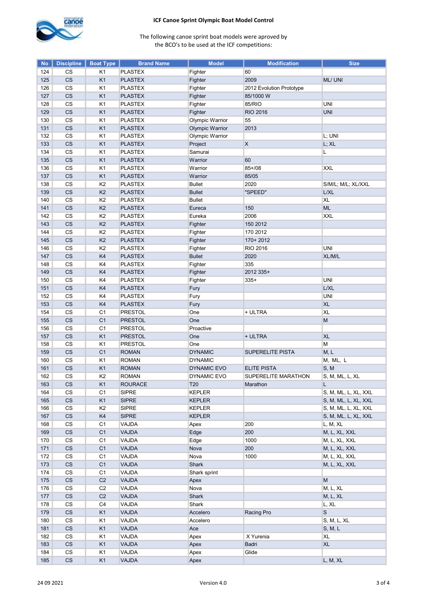

| <b>No</b>  | <b>Discipline</b>        | <b>Boat Type</b>     | <b>Brand Name</b>                | <b>Model</b>           | <b>Modification</b>      | <b>Size</b>            |
|------------|--------------------------|----------------------|----------------------------------|------------------------|--------------------------|------------------------|
| 124        | CS                       | K1                   | <b>PLASTEX</b>                   | Fighter                | 60                       |                        |
| 125        | CS                       | K <sub>1</sub>       | <b>PLASTEX</b>                   | Fighter                | 2009                     | ML/ UNI                |
| 126        | CS                       | K <sub>1</sub>       | <b>PLASTEX</b>                   | Fighter                | 2012 Evolution Prototype |                        |
| 127        | CS                       | K <sub>1</sub>       | <b>PLASTEX</b>                   | Fighter                | 85/1000 W                |                        |
| 128        | CS                       | K <sub>1</sub>       | <b>PLASTEX</b>                   | Fighter                | 85/RIO                   | <b>UNI</b>             |
| 129        | CS                       | K <sub>1</sub>       | <b>PLASTEX</b>                   | Fighter                | <b>RIO 2016</b>          | <b>UNI</b>             |
| 130        | $\mathbb{C}\mathbb{S}$   | K <sub>1</sub>       | <b>PLASTEX</b>                   | Olympic Warrior        | 55                       |                        |
| 131        | CS                       | K1                   | <b>PLASTEX</b>                   | <b>Olympic Warrior</b> | 2013                     |                        |
| 132        | CS                       | K <sub>1</sub>       | <b>PLASTEX</b>                   | Olympic Warrior        |                          | L; UNI                 |
| 133        | CS                       | K <sub>1</sub>       | <b>PLASTEX</b>                   | Project                | X                        | L; XL                  |
| 134        | CS                       | K <sub>1</sub>       | <b>PLASTEX</b>                   | Samurai                |                          | L                      |
| 135        | CS                       | K <sub>1</sub>       | <b>PLASTEX</b>                   | Warrior                | 60                       |                        |
| 136        | $_{\rm CS}$              | K <sub>1</sub>       | <b>PLASTEX</b>                   | Warrior                | $85 + / 08$              | <b>XXL</b>             |
| 137        | $\overline{\text{CS}}$   | K <sub>1</sub>       | <b>PLASTEX</b>                   | Warrior                | 85/05                    |                        |
| 138        | CS                       | K <sub>2</sub>       | <b>PLASTEX</b>                   | <b>Bullet</b>          | 2020                     | S/M/L; M/L; XL/XXL     |
| 139        | CS                       | K <sub>2</sub>       | <b>PLASTEX</b>                   | <b>Bullet</b>          | "SPEED"                  | L/XL                   |
| 140        | CS                       | K <sub>2</sub>       | <b>PLASTEX</b>                   | <b>Bullet</b>          |                          | <b>XL</b>              |
| 141        | $\mathsf{CS}\xspace$     | K <sub>2</sub>       | <b>PLASTEX</b>                   | Eureca                 | 150                      | <b>ML</b>              |
| 142        | CS                       | K <sub>2</sub>       | <b>PLASTEX</b>                   | Eureka                 | 2006                     | <b>XXL</b>             |
| 143        | $\mathsf{CS}\xspace$     | K <sub>2</sub>       | <b>PLASTEX</b>                   | Fighter                | 150 2012                 |                        |
| 144        | $\mathbb{C}\mathbb{S}$   | K <sub>2</sub>       | <b>PLASTEX</b>                   | Fighter                | 170 2012                 |                        |
| 145        | CS                       | K <sub>2</sub>       | <b>PLASTEX</b>                   | Fighter                | 170+2012                 |                        |
| 146        | CS                       | K <sub>2</sub>       | <b>PLASTEX</b>                   | Fighter                | RIO 2016                 | UNI                    |
| 147        | <b>CS</b>                | K4                   | <b>PLASTEX</b>                   | <b>Bullet</b>          | 2020                     | XL/M/L                 |
| 148        | CS                       | K4                   | <b>PLASTEX</b>                   |                        | 335                      |                        |
|            |                          |                      |                                  | Fighter                |                          |                        |
| 149<br>150 | CS<br>CS                 | K4<br>K4             | <b>PLASTEX</b><br><b>PLASTEX</b> | Fighter                | 2012 335+<br>$335+$      | <b>UNI</b>             |
| 151        | CS                       | K4                   | <b>PLASTEX</b>                   | Fighter                |                          | L/XL                   |
|            |                          |                      |                                  | Fury                   |                          |                        |
| 152        | $_{\rm CS}$<br>CS        | K4<br>K <sub>4</sub> | <b>PLASTEX</b>                   | Fury                   |                          | UNI                    |
| 153        |                          |                      | <b>PLASTEX</b>                   | Fury                   |                          | <b>XL</b><br><b>XL</b> |
| 154        | CS                       | C <sub>1</sub>       | <b>PRESTOL</b>                   | One                    | + ULTRA                  |                        |
| 155        | CS                       | C <sub>1</sub>       | <b>PRESTOL</b>                   | One                    |                          | M                      |
| 156        | CS                       | C <sub>1</sub>       | <b>PRESTOL</b>                   | Proactive              |                          |                        |
| 157        | CS                       | K <sub>1</sub>       | <b>PRESTOL</b>                   | One                    | + ULTRA                  | <b>XL</b>              |
| 158        | $\mathbb{C}\mathbb{S}$   | K <sub>1</sub>       | <b>PRESTOL</b>                   | One                    |                          | M                      |
| 159        | CS                       | C <sub>1</sub>       | <b>ROMAN</b>                     | <b>DYNAMIC</b>         | <b>SUPERELITE PISTA</b>  | M, L                   |
| 160        | CS                       | K <sub>1</sub>       | <b>ROMAN</b>                     | <b>DYNAMIC</b>         |                          | M, ML, L               |
| 161        | CS                       | K <sub>1</sub>       | <b>ROMAN</b>                     | DYNAMIC EVO            | <b>ELITE PISTA</b>       | S, M                   |
| 162        | <b>CS</b>                | K <sub>2</sub>       | <b>ROMAN</b>                     | DYNAMIC EVO            | SUPERELITE MARATHON      | S, M, ML, L, XL        |
| 163        | CS                       | K <sub>1</sub>       | <b>ROURACE</b>                   | T20                    | Marathon                 | L                      |
| 164        | CS                       | C <sub>1</sub>       | <b>SIPRE</b>                     | <b>KEPLER</b>          |                          | S, M, ML, L, XL, XXL   |
| 165        | $\mathsf{CS}\xspace$     | K <sub>1</sub>       | <b>SIPRE</b>                     | <b>KEPLER</b>          |                          | S, M, ML, L, XL, XXL   |
| 166        | CS                       | K <sub>2</sub>       | <b>SIPRE</b>                     | <b>KEPLER</b>          |                          | S, M, ML, L, XL, XXL   |
| 167        | $\mathsf{CS}\xspace$     | K4                   | <b>SIPRE</b>                     | <b>KEPLER</b>          |                          | S, M, ML, L, XL, XXL   |
| 168        | CS                       | C <sub>1</sub>       | VAJDA                            | Apex                   | 200                      | L, M, XL               |
| 169        | <b>CS</b>                | C <sub>1</sub>       | <b>VAJDA</b>                     | Edge                   | 200                      | M, L, XL, XXL          |
| 170        | $\mathsf{CS}\phantom{0}$ | C <sub>1</sub>       | VAJDA                            | Edge                   | 1000                     | M, L, XL, XXL          |
| 171        | CS                       | C <sub>1</sub>       | VAJDA                            | Nova                   | 200                      | M, L, XL, XXL          |
| 172        | $\mathbb{C}\mathbb{S}$   | C <sub>1</sub>       | VAJDA                            | Nova                   | 1000                     | M, L, XL, XXL          |
| 173        | $\mathsf{CS}\xspace$     | C <sub>1</sub>       | VAJDA                            | Shark                  |                          | M, L, XL, XXL          |
| 174        | $\mathbb{C}\mathbb{S}$   | C <sub>1</sub>       | VAJDA                            | Shark sprint           |                          |                        |
| 175        | $\mathsf{CS}\xspace$     | C <sub>2</sub>       | <b>VAJDA</b>                     | Apex                   |                          | M                      |
| 176        | CS                       | C <sub>2</sub>       | VAJDA                            | Nova                   |                          | M, L, XL               |
| 177        | CS                       | C <sub>2</sub>       | <b>VAJDA</b>                     | Shark                  |                          | M, L, XL               |
| 178        | $\mathsf{CS}\xspace$     | C <sub>4</sub>       | VAJDA                            | Shark                  |                          | L, XL                  |
| 179        | $\mathsf{CS}\xspace$     | K <sub>1</sub>       | VAJDA                            | Accelero               | Racing Pro               | $\mathbf S$            |
| 180        | CS                       | K <sub>1</sub>       | VAJDA                            | Accelero               |                          | S, M, L, XL            |
| 181        | CS                       | K <sub>1</sub>       | VAJDA                            | Ace                    |                          | S, M, L                |
| 182        | CS                       | K1                   | VAJDA                            | Apex                   | X Yurenia                | <b>XL</b>              |
| 183        | CS                       | K <sub>1</sub>       | <b>VAJDA</b>                     | Apex                   | Badri                    | <b>XL</b>              |
| 184        | $\mathsf{CS}\xspace$     | K <sub>1</sub>       | VAJDA                            | Apex                   | Glide                    |                        |
| 185        | CS                       | K1                   | VAJDA                            | Apex                   |                          | L, M, XL               |